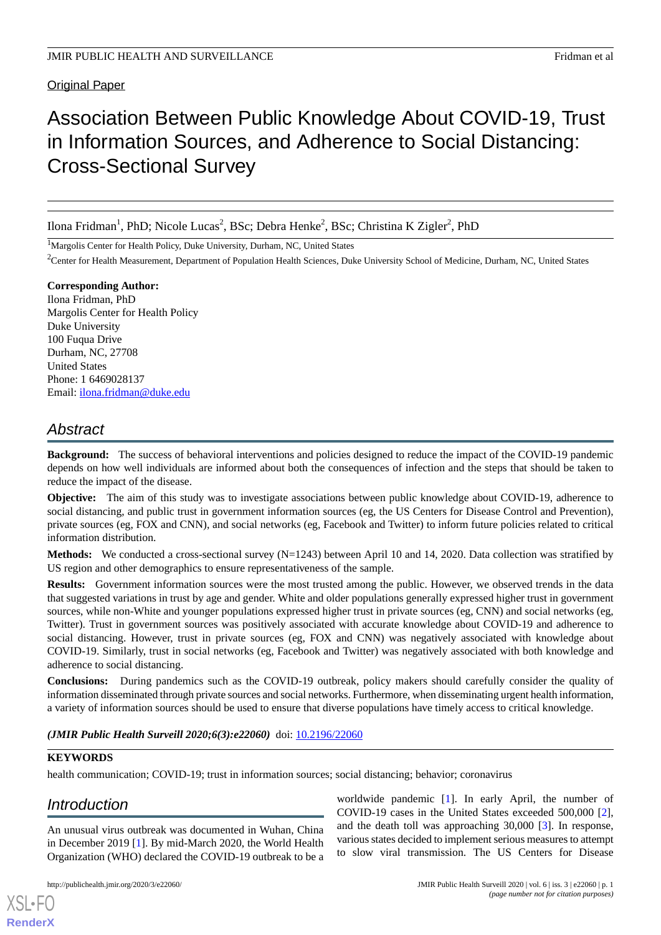### Original Paper

# Association Between Public Knowledge About COVID-19, Trust in Information Sources, and Adherence to Social Distancing: Cross-Sectional Survey

Ilona Fridman<sup>1</sup>, PhD; Nicole Lucas<sup>2</sup>, BSc; Debra Henke<sup>2</sup>, BSc; Christina K Zigler<sup>2</sup>, PhD

<sup>1</sup>Margolis Center for Health Policy, Duke University, Durham, NC, United States

<sup>2</sup>Center for Health Measurement, Department of Population Health Sciences, Duke University School of Medicine, Durham, NC, United States

**Corresponding Author:** Ilona Fridman, PhD Margolis Center for Health Policy Duke University 100 Fuqua Drive Durham, NC, 27708 United States Phone: 1 6469028137 Email: [ilona.fridman@duke.edu](mailto:ilona.fridman@duke.edu)

# *Abstract*

**Background:** The success of behavioral interventions and policies designed to reduce the impact of the COVID-19 pandemic depends on how well individuals are informed about both the consequences of infection and the steps that should be taken to reduce the impact of the disease.

**Objective:** The aim of this study was to investigate associations between public knowledge about COVID-19, adherence to social distancing, and public trust in government information sources (eg, the US Centers for Disease Control and Prevention), private sources (eg, FOX and CNN), and social networks (eg, Facebook and Twitter) to inform future policies related to critical information distribution.

**Methods:** We conducted a cross-sectional survey (N=1243) between April 10 and 14, 2020. Data collection was stratified by US region and other demographics to ensure representativeness of the sample.

**Results:** Government information sources were the most trusted among the public. However, we observed trends in the data that suggested variations in trust by age and gender. White and older populations generally expressed higher trust in government sources, while non-White and younger populations expressed higher trust in private sources (eg, CNN) and social networks (eg, Twitter). Trust in government sources was positively associated with accurate knowledge about COVID-19 and adherence to social distancing. However, trust in private sources (eg, FOX and CNN) was negatively associated with knowledge about COVID-19. Similarly, trust in social networks (eg, Facebook and Twitter) was negatively associated with both knowledge and adherence to social distancing.

**Conclusions:** During pandemics such as the COVID-19 outbreak, policy makers should carefully consider the quality of information disseminated through private sources and social networks. Furthermore, when disseminating urgent health information, a variety of information sources should be used to ensure that diverse populations have timely access to critical knowledge.

#### *(JMIR Public Health Surveill 2020;6(3):e22060)* doi:  $10.2196/22060$

#### **KEYWORDS**

[XSL](http://www.w3.org/Style/XSL)•FO **[RenderX](http://www.renderx.com/)**

health communication; COVID-19; trust in information sources; social distancing; behavior; coronavirus

# *Introduction*

An unusual virus outbreak was documented in Wuhan, China in December 2019 [\[1\]](#page-14-0). By mid-March 2020, the World Health Organization (WHO) declared the COVID-19 outbreak to be a

COVID-19 cases in the United States exceeded 500,000 [[2\]](#page-14-1), and the death toll was approaching 30,000 [\[3](#page-14-2)]. In response, various states decided to implement serious measures to attempt to slow viral transmission. The US Centers for Disease

worldwide pandemic [\[1](#page-14-0)]. In early April, the number of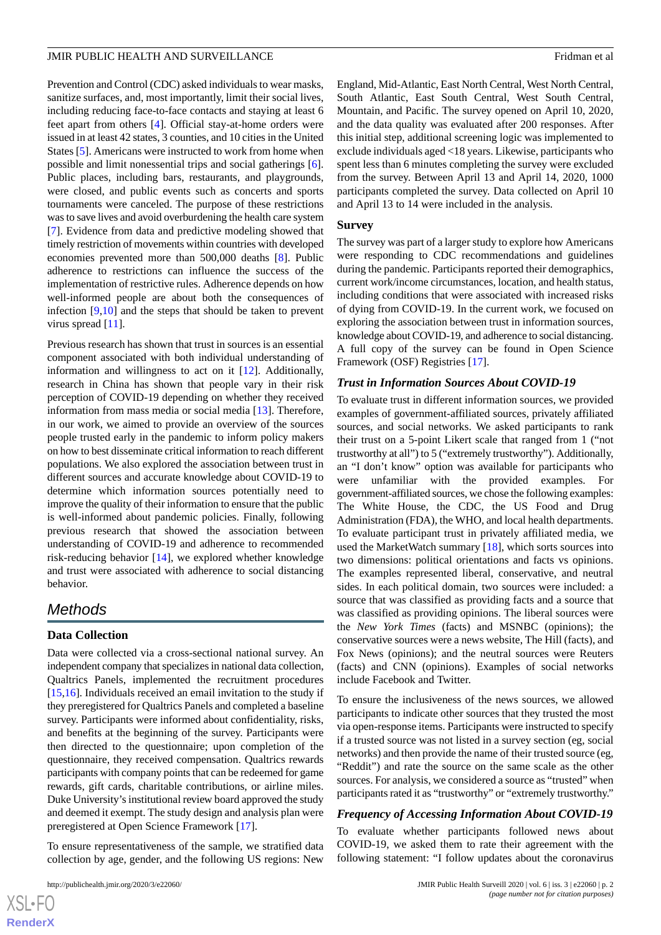Prevention and Control (CDC) asked individuals to wear masks, sanitize surfaces, and, most importantly, limit their social lives, including reducing face-to-face contacts and staying at least 6 feet apart from others [\[4](#page-14-3)]. Official stay-at-home orders were issued in at least 42 states, 3 counties, and 10 cities in the United States [[5\]](#page-14-4). Americans were instructed to work from home when possible and limit nonessential trips and social gatherings [[6\]](#page-14-5). Public places, including bars, restaurants, and playgrounds, were closed, and public events such as concerts and sports tournaments were canceled. The purpose of these restrictions was to save lives and avoid overburdening the health care system [[7\]](#page-14-6). Evidence from data and predictive modeling showed that timely restriction of movements within countries with developed economies prevented more than 500,000 deaths [[8\]](#page-14-7). Public adherence to restrictions can influence the success of the implementation of restrictive rules. Adherence depends on how well-informed people are about both the consequences of infection [[9,](#page-14-8)[10](#page-14-9)] and the steps that should be taken to prevent virus spread [[11\]](#page-14-10).

Previous research has shown that trust in sources is an essential component associated with both individual understanding of information and willingness to act on it [[12\]](#page-14-11). Additionally, research in China has shown that people vary in their risk perception of COVID-19 depending on whether they received information from mass media or social media [\[13](#page-14-12)]. Therefore, in our work, we aimed to provide an overview of the sources people trusted early in the pandemic to inform policy makers on how to best disseminate critical information to reach different populations. We also explored the association between trust in different sources and accurate knowledge about COVID-19 to determine which information sources potentially need to improve the quality of their information to ensure that the public is well-informed about pandemic policies. Finally, following previous research that showed the association between understanding of COVID-19 and adherence to recommended risk-reducing behavior [\[14](#page-14-13)], we explored whether knowledge and trust were associated with adherence to social distancing behavior.

### *Methods*

#### **Data Collection**

Data were collected via a cross-sectional national survey. An independent company that specializes in national data collection, Qualtrics Panels, implemented the recruitment procedures [[15](#page-14-14)[,16](#page-14-15)]. Individuals received an email invitation to the study if they preregistered for Qualtrics Panels and completed a baseline survey. Participants were informed about confidentiality, risks, and benefits at the beginning of the survey. Participants were then directed to the questionnaire; upon completion of the questionnaire, they received compensation. Qualtrics rewards participants with company points that can be redeemed for game rewards, gift cards, charitable contributions, or airline miles. Duke University's institutional review board approved the study and deemed it exempt. The study design and analysis plan were preregistered at Open Science Framework [\[17](#page-15-0)].

To ensure representativeness of the sample, we stratified data collection by age, gender, and the following US regions: New

England, Mid-Atlantic, East North Central, West North Central, South Atlantic, East South Central, West South Central, Mountain, and Pacific. The survey opened on April 10, 2020, and the data quality was evaluated after 200 responses. After this initial step, additional screening logic was implemented to exclude individuals aged <18 years. Likewise, participants who spent less than 6 minutes completing the survey were excluded from the survey. Between April 13 and April 14, 2020, 1000 participants completed the survey. Data collected on April 10 and April 13 to 14 were included in the analysis.

#### **Survey**

The survey was part of a larger study to explore how Americans were responding to CDC recommendations and guidelines during the pandemic. Participants reported their demographics, current work/income circumstances, location, and health status, including conditions that were associated with increased risks of dying from COVID-19. In the current work, we focused on exploring the association between trust in information sources, knowledge about COVID-19, and adherence to social distancing. A full copy of the survey can be found in Open Science Framework (OSF) Registries [\[17](#page-15-0)].

#### *Trust in Information Sources About COVID-19*

To evaluate trust in different information sources, we provided examples of government-affiliated sources, privately affiliated sources, and social networks. We asked participants to rank their trust on a 5-point Likert scale that ranged from 1 ("not trustworthy at all") to 5 ("extremely trustworthy"). Additionally, an "I don't know" option was available for participants who were unfamiliar with the provided examples. For government-affiliated sources, we chose the following examples: The White House, the CDC, the US Food and Drug Administration (FDA), the WHO, and local health departments. To evaluate participant trust in privately affiliated media, we used the MarketWatch summary [\[18](#page-15-1)], which sorts sources into two dimensions: political orientations and facts vs opinions. The examples represented liberal, conservative, and neutral sides. In each political domain, two sources were included: a source that was classified as providing facts and a source that was classified as providing opinions. The liberal sources were the *New York Times* (facts) and MSNBC (opinions); the conservative sources were a news website, The Hill (facts), and Fox News (opinions); and the neutral sources were Reuters (facts) and CNN (opinions). Examples of social networks include Facebook and Twitter.

To ensure the inclusiveness of the news sources, we allowed participants to indicate other sources that they trusted the most via open-response items. Participants were instructed to specify if a trusted source was not listed in a survey section (eg, social networks) and then provide the name of their trusted source (eg, "Reddit") and rate the source on the same scale as the other sources. For analysis, we considered a source as "trusted" when participants rated it as "trustworthy" or "extremely trustworthy."

#### *Frequency of Accessing Information About COVID-19*

To evaluate whether participants followed news about COVID-19, we asked them to rate their agreement with the following statement: "I follow updates about the coronavirus

 $XS$ -FO **[RenderX](http://www.renderx.com/)**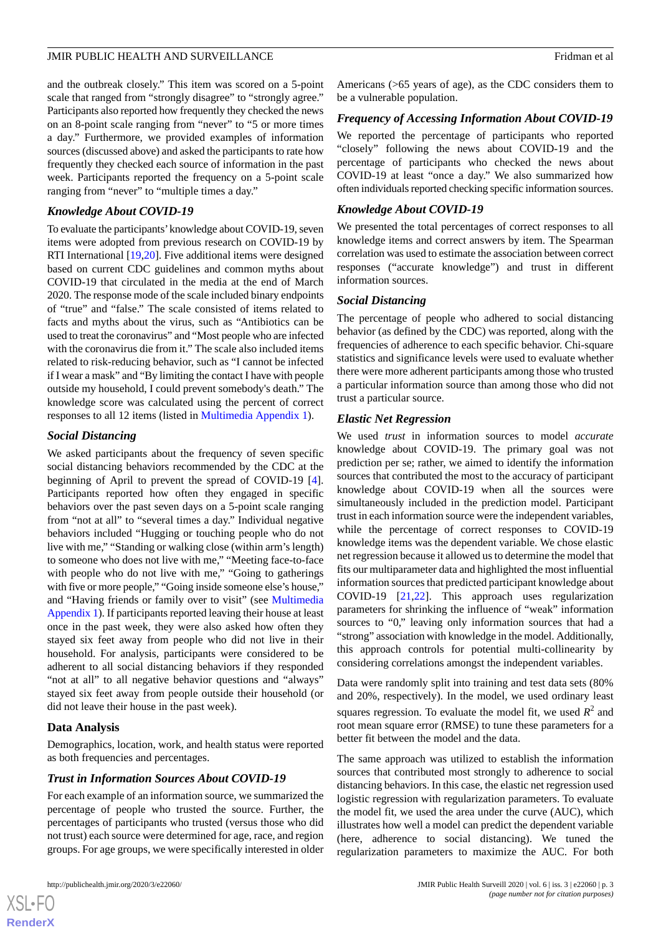and the outbreak closely." This item was scored on a 5-point scale that ranged from "strongly disagree" to "strongly agree." Participants also reported how frequently they checked the news on an 8-point scale ranging from "never" to "5 or more times a day." Furthermore, we provided examples of information sources (discussed above) and asked the participants to rate how frequently they checked each source of information in the past week. Participants reported the frequency on a 5-point scale ranging from "never" to "multiple times a day."

#### *Knowledge About COVID-19*

To evaluate the participants'knowledge about COVID-19, seven items were adopted from previous research on COVID-19 by RTI International [\[19](#page-15-2),[20\]](#page-15-3). Five additional items were designed based on current CDC guidelines and common myths about COVID-19 that circulated in the media at the end of March 2020. The response mode of the scale included binary endpoints of "true" and "false." The scale consisted of items related to facts and myths about the virus, such as "Antibiotics can be used to treat the coronavirus" and "Most people who are infected with the coronavirus die from it." The scale also included items related to risk-reducing behavior, such as "I cannot be infected if I wear a mask" and "By limiting the contact I have with people outside my household, I could prevent somebody's death." The knowledge score was calculated using the percent of correct responses to all 12 items (listed in [Multimedia Appendix 1](#page-14-16)).

#### *Social Distancing*

We asked participants about the frequency of seven specific social distancing behaviors recommended by the CDC at the beginning of April to prevent the spread of COVID-19 [[4\]](#page-14-3). Participants reported how often they engaged in specific behaviors over the past seven days on a 5-point scale ranging from "not at all" to "several times a day." Individual negative behaviors included "Hugging or touching people who do not live with me," "Standing or walking close (within arm's length) to someone who does not live with me," "Meeting face-to-face with people who do not live with me," "Going to gatherings with five or more people," "Going inside someone else's house," and "Having friends or family over to visit" (see [Multimedia](#page-14-16) [Appendix 1\)](#page-14-16). If participants reported leaving their house at least once in the past week, they were also asked how often they stayed six feet away from people who did not live in their household. For analysis, participants were considered to be adherent to all social distancing behaviors if they responded "not at all" to all negative behavior questions and "always" stayed six feet away from people outside their household (or did not leave their house in the past week).

#### **Data Analysis**

 $XS$  $\cdot$ FC **[RenderX](http://www.renderx.com/)**

Demographics, location, work, and health status were reported as both frequencies and percentages.

#### *Trust in Information Sources About COVID-19*

For each example of an information source, we summarized the percentage of people who trusted the source. Further, the percentages of participants who trusted (versus those who did not trust) each source were determined for age, race, and region groups. For age groups, we were specifically interested in older

Americans (>65 years of age), as the CDC considers them to be a vulnerable population.

#### *Frequency of Accessing Information About COVID-19*

We reported the percentage of participants who reported "closely" following the news about COVID-19 and the percentage of participants who checked the news about COVID-19 at least "once a day." We also summarized how often individuals reported checking specific information sources.

#### *Knowledge About COVID-19*

We presented the total percentages of correct responses to all knowledge items and correct answers by item. The Spearman correlation was used to estimate the association between correct responses ("accurate knowledge") and trust in different information sources.

#### *Social Distancing*

The percentage of people who adhered to social distancing behavior (as defined by the CDC) was reported, along with the frequencies of adherence to each specific behavior. Chi-square statistics and significance levels were used to evaluate whether there were more adherent participants among those who trusted a particular information source than among those who did not trust a particular source.

#### *Elastic Net Regression*

We used *trust* in information sources to model *accurate* knowledge about COVID-19. The primary goal was not prediction per se; rather, we aimed to identify the information sources that contributed the most to the accuracy of participant knowledge about COVID-19 when all the sources were simultaneously included in the prediction model. Participant trust in each information source were the independent variables, while the percentage of correct responses to COVID-19 knowledge items was the dependent variable. We chose elastic net regression because it allowed us to determine the model that fits our multiparameter data and highlighted the most influential information sources that predicted participant knowledge about COVID-19 [[21,](#page-15-4)[22](#page-15-5)]. This approach uses regularization parameters for shrinking the influence of "weak" information sources to "0," leaving only information sources that had a "strong" association with knowledge in the model. Additionally, this approach controls for potential multi-collinearity by considering correlations amongst the independent variables.

Data were randomly split into training and test data sets (80% and 20%, respectively). In the model, we used ordinary least squares regression. To evaluate the model fit, we used  $R^2$  and root mean square error (RMSE) to tune these parameters for a better fit between the model and the data.

The same approach was utilized to establish the information sources that contributed most strongly to adherence to social distancing behaviors. In this case, the elastic net regression used logistic regression with regularization parameters. To evaluate the model fit, we used the area under the curve (AUC), which illustrates how well a model can predict the dependent variable (here, adherence to social distancing). We tuned the regularization parameters to maximize the AUC. For both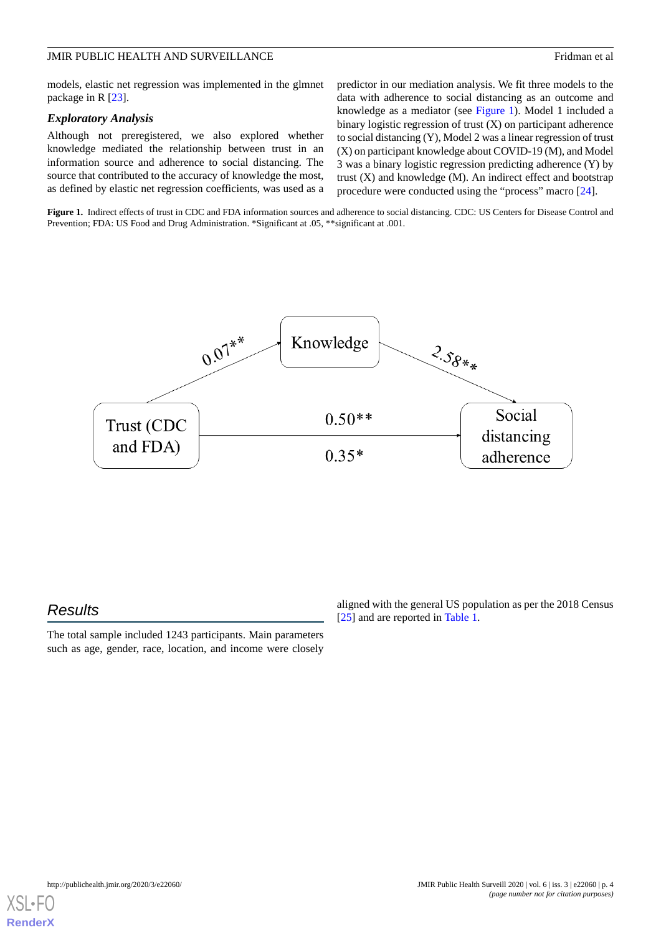models, elastic net regression was implemented in the glmnet package in R [[23\]](#page-15-6).

#### *Exploratory Analysis*

Although not preregistered, we also explored whether knowledge mediated the relationship between trust in an information source and adherence to social distancing. The source that contributed to the accuracy of knowledge the most, as defined by elastic net regression coefficients, was used as a predictor in our mediation analysis. We fit three models to the data with adherence to social distancing as an outcome and knowledge as a mediator (see [Figure 1](#page-3-0)). Model 1 included a binary logistic regression of trust (X) on participant adherence to social distancing (Y), Model 2 was a linear regression of trust (X) on participant knowledge about COVID-19 (M), and Model 3 was a binary logistic regression predicting adherence (Y) by trust  $(X)$  and knowledge  $(M)$ . An indirect effect and bootstrap procedure were conducted using the "process" macro [[24\]](#page-15-7).

<span id="page-3-0"></span>Figure 1. Indirect effects of trust in CDC and FDA information sources and adherence to social distancing. CDC: US Centers for Disease Control and Prevention; FDA: US Food and Drug Administration. \*Significant at .05, \*\*significant at .001.



# *Results*

The total sample included 1243 participants. Main parameters such as age, gender, race, location, and income were closely

aligned with the general US population as per the 2018 Census [[25\]](#page-15-8) and are reported in [Table 1](#page-4-0).

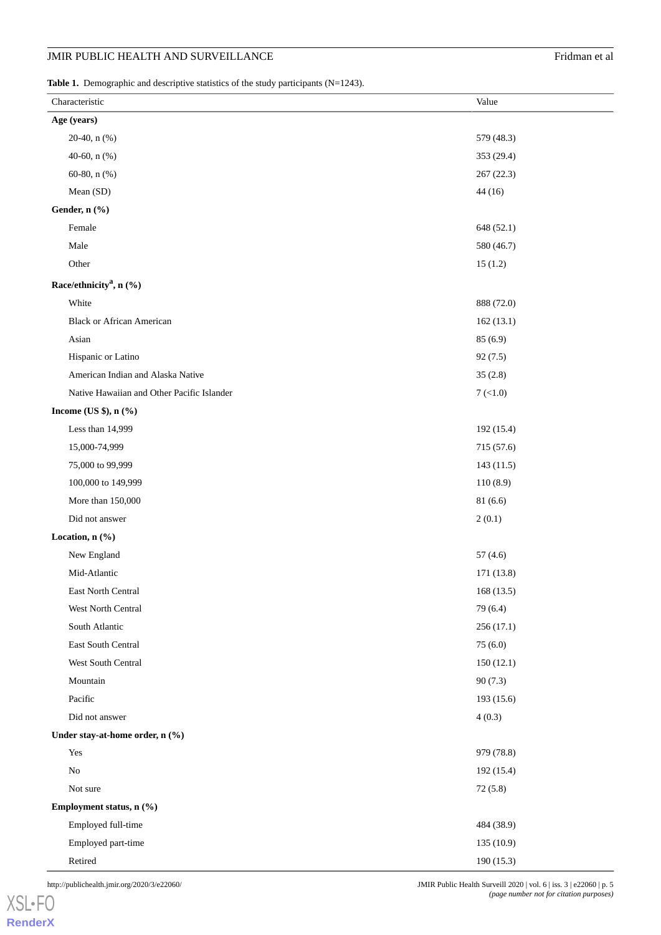## **JMIR PUBLIC HEALTH AND SURVEILLANCE** Fridman et al

<span id="page-4-0"></span>Table 1. Demographic and descriptive statistics of the study participants (N=1243).

| Characteristic |                                            | Value            |
|----------------|--------------------------------------------|------------------|
|                | Age (years)                                |                  |
|                | 20-40, n (%)                               | 579 (48.3)       |
|                | 40-60, n (%)                               | 353 (29.4)       |
|                | 60-80, n $(\% )$                           | 267(22.3)        |
|                | Mean (SD)                                  | 44(16)           |
|                | Gender, n (%)                              |                  |
|                | Female                                     | 648 (52.1)       |
|                | Male                                       | 580 (46.7)       |
|                | Other                                      | 15(1.2)          |
|                | Race/ethnicity <sup>a</sup> , n (%)        |                  |
|                | White                                      | 888 (72.0)       |
|                | <b>Black or African American</b>           | 162(13.1)        |
|                | Asian                                      | 85(6.9)          |
|                | Hispanic or Latino                         | 92(7.5)          |
|                | American Indian and Alaska Native          | 35(2.8)          |
|                | Native Hawaiian and Other Pacific Islander | $7 \times (1.0)$ |
|                | Income (US \$), $n$ (%)                    |                  |
|                | Less than 14,999                           | 192 (15.4)       |
|                | 15,000-74,999                              | 715 (57.6)       |
|                | 75,000 to 99,999                           | 143(11.5)        |
|                | 100,000 to 149,999                         | 110(8.9)         |
|                | More than 150,000                          | 81 (6.6)         |
|                | Did not answer                             | 2(0.1)           |
|                | Location, n (%)                            |                  |
|                | New England                                | 57(4.6)          |
|                | Mid-Atlantic                               | 171 (13.8)       |
|                | East North Central                         | 168(13.5)        |
|                | West North Central                         | 79 (6.4)         |
|                | South Atlantic                             | 256(17.1)        |
|                | East South Central                         | 75(6.0)          |
|                | West South Central                         | 150(12.1)        |
|                | Mountain                                   | 90(7.3)          |
|                | Pacific                                    | 193 (15.6)       |
|                | Did not answer                             | 4(0.3)           |
|                | Under stay-at-home order, n (%)            |                  |
|                | Yes                                        | 979 (78.8)       |
|                | $\rm No$                                   | 192(15.4)        |
|                | Not sure                                   | 72(5.8)          |
|                | Employment status, n (%)                   |                  |
|                | Employed full-time                         | 484 (38.9)       |
|                | Employed part-time                         | 135 (10.9)       |
|                | Retired                                    | 190(15.3)        |

[XSL](http://www.w3.org/Style/XSL)•FO **[RenderX](http://www.renderx.com/)**

http://publichealth.jmir.org/2020/3/e22060/ JMIR Public Health Surveill 2020 | vol. 6 | iss. 3 | e22060 | p. 5 *(page number not for citation purposes)*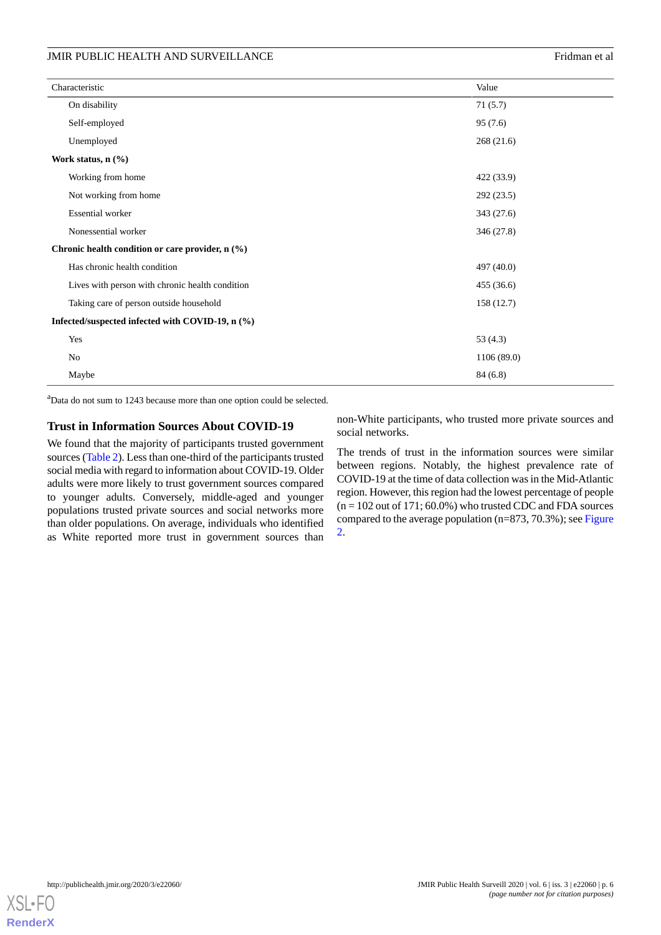| Characteristic                                   | Value      |
|--------------------------------------------------|------------|
| On disability                                    | 71(5.7)    |
| Self-employed                                    | 95(7.6)    |
| Unemployed                                       | 268 (21.6) |
| Work status, $n$ $(\%)$                          |            |
| Working from home                                | 422 (33.9) |
| Not working from home                            | 292 (23.5) |
| <b>Essential worker</b>                          | 343 (27.6) |
| Nonessential worker                              | 346(27.8)  |
| Chronic health condition or care provider, n (%) |            |
| Has chronic health condition                     | 497 (40.0) |
| Lives with person with chronic health condition  | 455 (36.6) |
| Taking care of person outside household          | 158 (12.7) |
| Infected/suspected infected with COVID-19, n (%) |            |
| Yes                                              | 53 $(4.3)$ |
| No                                               | 1106(89.0) |
| Maybe                                            | 84 (6.8)   |

<sup>a</sup>Data do not sum to 1243 because more than one option could be selected.

#### **Trust in Information Sources About COVID-19**

We found that the majority of participants trusted government sources ([Table 2](#page-6-0)). Less than one-third of the participants trusted social media with regard to information about COVID-19. Older adults were more likely to trust government sources compared to younger adults. Conversely, middle-aged and younger populations trusted private sources and social networks more than older populations. On average, individuals who identified as White reported more trust in government sources than

non-White participants, who trusted more private sources and social networks.

The trends of trust in the information sources were similar between regions. Notably, the highest prevalence rate of COVID-19 at the time of data collection was in the Mid-Atlantic region. However, this region had the lowest percentage of people  $(n = 102$  out of 171; 60.0%) who trusted CDC and FDA sources compared to the average population (n=873, 70.3%); see [Figure](#page-7-0) [2.](#page-7-0)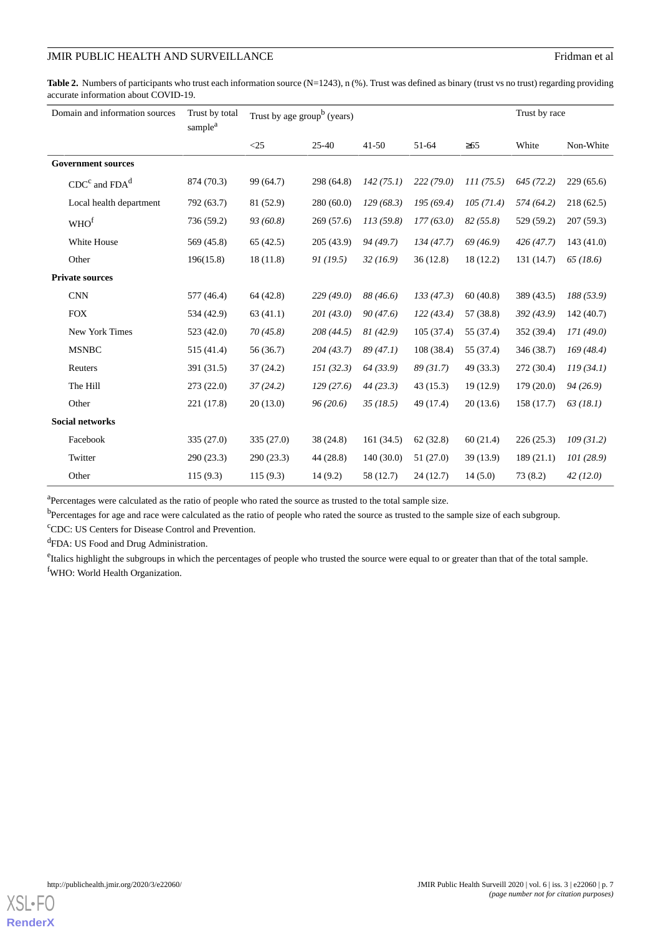### JMIR PUBLIC HEALTH AND SURVEILLANCE Fridman et al.

<span id="page-6-0"></span>Table 2. Numbers of participants who trust each information source (N=1243), n (%). Trust was defined as binary (trust vs no trust) regarding providing accurate information about COVID-19.

| Domain and information sources |                         | Trust by total<br>sample <sup>a</sup> | Trust by age group <sup>b</sup> (years) |            |           |           |           | Trust by race |           |
|--------------------------------|-------------------------|---------------------------------------|-----------------------------------------|------------|-----------|-----------|-----------|---------------|-----------|
|                                |                         |                                       | $\leq$ 25                               | $25 - 40$  | $41 - 50$ | 51-64     | $\geq 65$ | White         | Non-White |
| <b>Government sources</b>      |                         |                                       |                                         |            |           |           |           |               |           |
|                                | $CDCc$ and $FDAd$       | 874 (70.3)                            | 99 (64.7)                               | 298 (64.8) | 142(75.1) | 222(79.0) | 111(75.5) | 645(72.2)     | 229(65.6) |
|                                | Local health department | 792 (63.7)                            | 81 (52.9)                               | 280(60.0)  | 129(68.3) | 195(69.4) | 105(71.4) | 574 (64.2)    | 218(62.5) |
|                                | WHO <sup>f</sup>        | 736 (59.2)                            | 93(60.8)                                | 269(57.6)  | 113(59.8) | 177(63.0) | 82(55.8)  | 529 (59.2)    | 207(59.3) |
|                                | White House             | 569 (45.8)                            | 65(42.5)                                | 205(43.9)  | 94 (49.7) | 134(47.7) | 69(46.9)  | 426(47.7)     | 143(41.0) |
|                                | Other                   | 196(15.8)                             | 18(11.8)                                | 91(19.5)   | 32(16.9)  | 36(12.8)  | 18 (12.2) | 131 (14.7)    | 65(18.6)  |
| <b>Private sources</b>         |                         |                                       |                                         |            |           |           |           |               |           |
|                                | <b>CNN</b>              | 577 (46.4)                            | 64 (42.8)                               | 229(49.0)  | 88 (46.6) | 133(47.3) | 60(40.8)  | 389 (43.5)    | 188(53.9) |
|                                | <b>FOX</b>              | 534 (42.9)                            | 63(41.1)                                | 201(43.0)  | 90(47.6)  | 122(43.4) | 57 (38.8) | 392 (43.9)    | 142(40.7) |
|                                | New York Times          | 523 (42.0)                            | 70(45.8)                                | 208 (44.5) | 81(42.9)  | 105(37.4) | 55 (37.4) | 352 (39.4)    | 171(49.0) |
|                                | <b>MSNBC</b>            | 515 (41.4)                            | 56 (36.7)                               | 204(43.7)  | 89(47.1)  | 108(38.4) | 55 (37.4) | 346 (38.7)    | 169(48.4) |
|                                | Reuters                 | 391 (31.5)                            | 37(24.2)                                | 151(32.3)  | 64 (33.9) | 89(31.7)  | 49 (33.3) | 272 (30.4)    | 119(34.1) |
|                                | The Hill                | 273(22.0)                             | 37(24.2)                                | 129(27.6)  | 44(23.3)  | 43(15.3)  | 19(12.9)  | 179(20.0)     | 94(26.9)  |
|                                | Other                   | 221 (17.8)                            | 20(13.0)                                | 96(20.6)   | 35(18.5)  | 49 (17.4) | 20(13.6)  | 158 (17.7)    | 63(18.1)  |
| <b>Social networks</b>         |                         |                                       |                                         |            |           |           |           |               |           |
|                                | Facebook                | 335(27.0)                             | 335(27.0)                               | 38(24.8)   | 161(34.5) | 62(32.8)  | 60(21.4)  | 226(25.3)     | 109(31.2) |
|                                | Twitter                 | 290(23.3)                             | 290(23.3)                               | 44 (28.8)  | 140(30.0) | 51(27.0)  | 39 (13.9) | 189(21.1)     | 101(28.9) |
|                                | Other                   | 115(9.3)                              | 115(9.3)                                | 14(9.2)    | 58 (12.7) | 24(12.7)  | 14(5.0)   | 73(8.2)       | 42(12.0)  |

<sup>a</sup>Percentages were calculated as the ratio of people who rated the source as trusted to the total sample size.

b<br>Percentages for age and race were calculated as the ratio of people who rated the source as trusted to the sample size of each subgroup.

<sup>c</sup>CDC: US Centers for Disease Control and Prevention.

<sup>d</sup>FDA: US Food and Drug Administration.

<sup>e</sup>Italics highlight the subgroups in which the percentages of people who trusted the source were equal to or greater than that of the total sample. <sup>f</sup>WHO: World Health Organization.

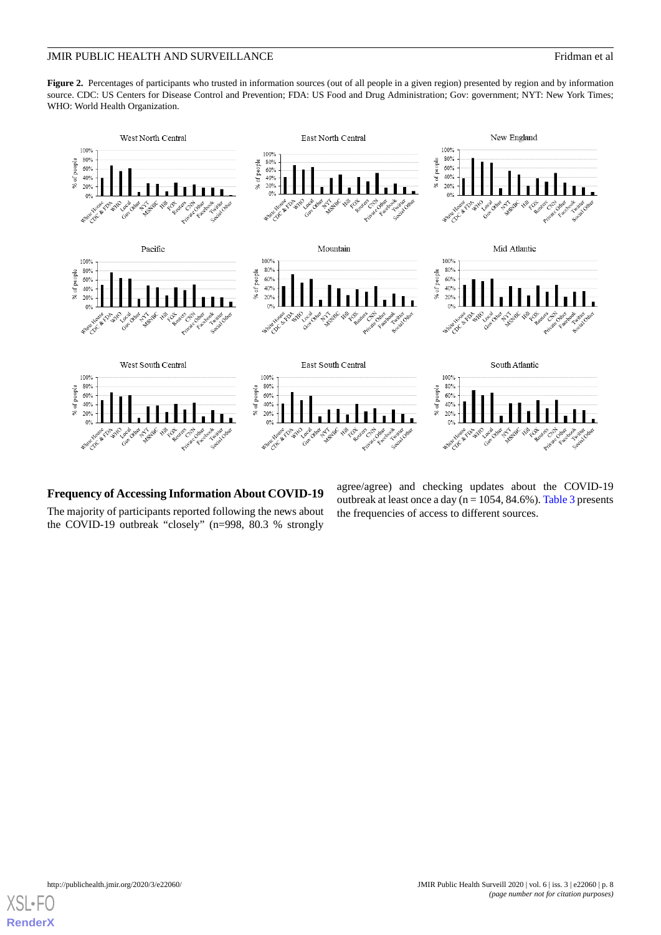#### JMIR PUBLIC HEALTH AND SURVEILLANCE FRIDE AND SURVEILLANCE

<span id="page-7-0"></span>Figure 2. Percentages of participants who trusted in information sources (out of all people in a given region) presented by region and by information source. CDC: US Centers for Disease Control and Prevention; FDA: US Food and Drug Administration; Gov: government; NYT: New York Times; WHO: World Health Organization.



#### **Frequency of Accessing Information About COVID-19**

The majority of participants reported following the news about the COVID-19 outbreak "closely" (n=998, 80.3 % strongly

agree/agree) and checking updates about the COVID-19 outbreak at least once a day ( $n = 1054$ , 84.6%). [Table 3](#page-8-0) presents the frequencies of access to different sources.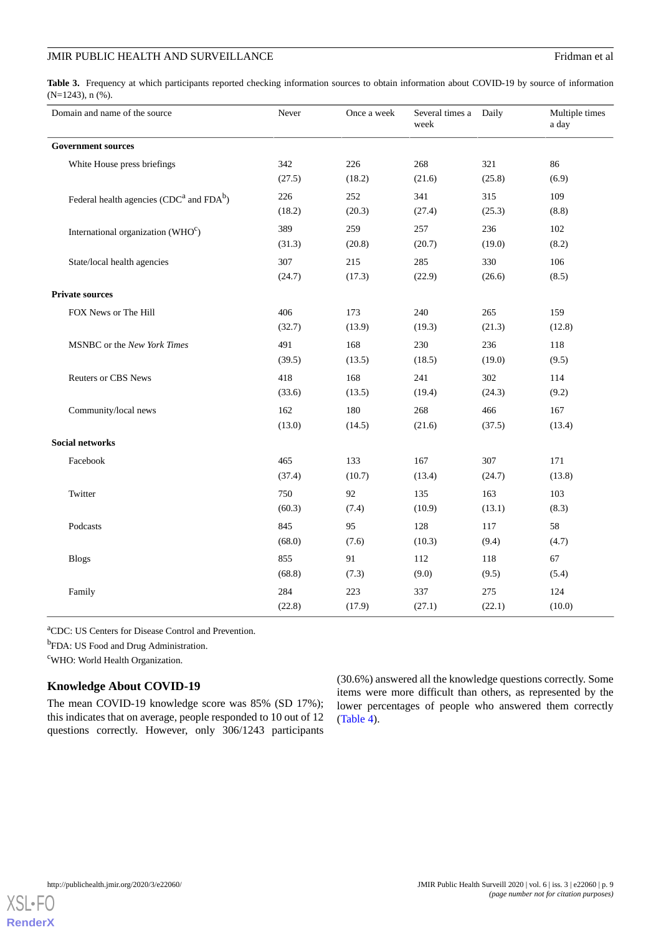#### JMIR PUBLIC HEALTH AND SURVEILLANCE FRIDE AND SURVEILLANCE

<span id="page-8-0"></span>Table 3. Frequency at which participants reported checking information sources to obtain information about COVID-19 by source of information (N=1243), n (%).

| Domain and name of the source                  | Never  | Once a week | Several times a Daily<br>week |        | Multiple times<br>a day |
|------------------------------------------------|--------|-------------|-------------------------------|--------|-------------------------|
| <b>Government sources</b>                      |        |             |                               |        |                         |
| White House press briefings                    | 342    | 226         | 268                           | 321    | 86                      |
|                                                | (27.5) | (18.2)      | (21.6)                        | (25.8) | (6.9)                   |
| Federal health agencies ( $CDCa$ and $FDAb$ )  | 226    | 252         | 341                           | 315    | 109                     |
|                                                | (18.2) | (20.3)      | (27.4)                        | (25.3) | (8.8)                   |
| International organization (WHO <sup>c</sup> ) | 389    | 259         | 257                           | 236    | 102                     |
|                                                | (31.3) | (20.8)      | (20.7)                        | (19.0) | (8.2)                   |
| State/local health agencies                    | 307    | 215         | 285                           | 330    | 106                     |
|                                                | (24.7) | (17.3)      | (22.9)                        | (26.6) | (8.5)                   |
| <b>Private sources</b>                         |        |             |                               |        |                         |
| FOX News or The Hill                           | 406    | 173         | 240                           | 265    | 159                     |
|                                                | (32.7) | (13.9)      | (19.3)                        | (21.3) | (12.8)                  |
| MSNBC or the New York Times                    | 491    | 168         | 230                           | 236    | 118                     |
|                                                | (39.5) | (13.5)      | (18.5)                        | (19.0) | (9.5)                   |
| <b>Reuters or CBS News</b>                     | 418    | 168         | 241                           | 302    | 114                     |
|                                                | (33.6) | (13.5)      | (19.4)                        | (24.3) | (9.2)                   |
| Community/local news                           | 162    | 180         | 268                           | 466    | 167                     |
|                                                | (13.0) | (14.5)      | (21.6)                        | (37.5) | (13.4)                  |
| <b>Social networks</b>                         |        |             |                               |        |                         |
| Facebook                                       | 465    | 133         | 167                           | 307    | 171                     |
|                                                | (37.4) | (10.7)      | (13.4)                        | (24.7) | (13.8)                  |
| Twitter                                        | 750    | 92          | 135                           | 163    | 103                     |
|                                                | (60.3) | (7.4)       | (10.9)                        | (13.1) | (8.3)                   |
| Podcasts                                       | 845    | 95          | 128                           | 117    | 58                      |
|                                                | (68.0) | (7.6)       | (10.3)                        | (9.4)  | (4.7)                   |
| <b>Blogs</b>                                   | 855    | 91          | 112                           | 118    | 67                      |
|                                                | (68.8) | (7.3)       | (9.0)                         | (9.5)  | (5.4)                   |
| Family                                         | 284    | 223         | 337                           | 275    | 124                     |
|                                                | (22.8) | (17.9)      | (27.1)                        | (22.1) | (10.0)                  |

<sup>a</sup>CDC: US Centers for Disease Control and Prevention.

<sup>b</sup>FDA: US Food and Drug Administration.

<sup>c</sup>WHO: World Health Organization.

#### **Knowledge About COVID-19**

The mean COVID-19 knowledge score was 85% (SD 17%); this indicates that on average, people responded to 10 out of 12 questions correctly. However, only 306/1243 participants

(30.6%) answered all the knowledge questions correctly. Some items were more difficult than others, as represented by the lower percentages of people who answered them correctly ([Table 4](#page-9-0)).

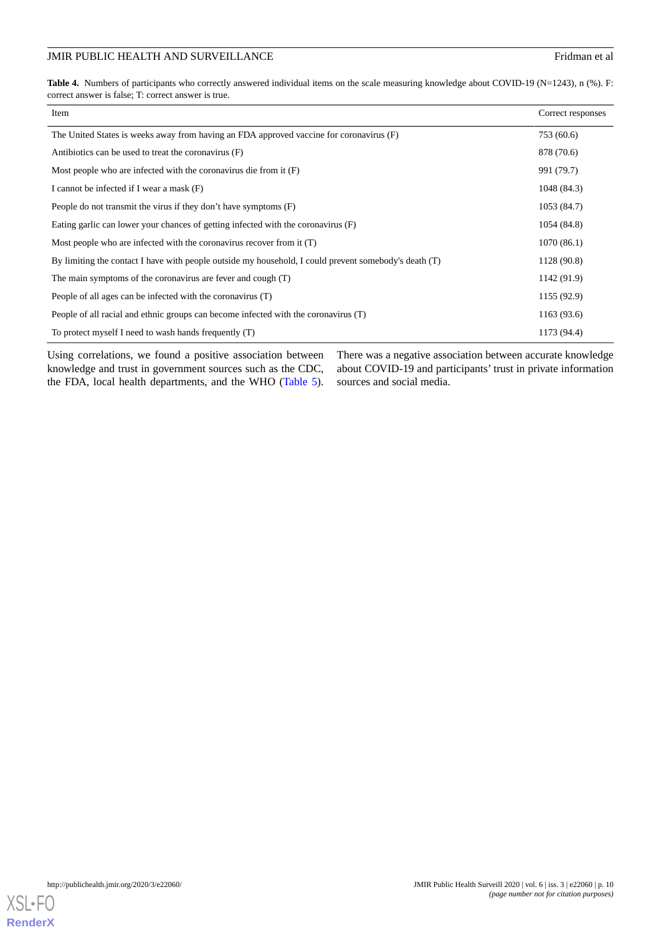#### JMIR PUBLIC HEALTH AND SURVEILLANCE Fridman et al.

<span id="page-9-0"></span>Table 4. Numbers of participants who correctly answered individual items on the scale measuring knowledge about COVID-19 (N=1243), n (%). F: correct answer is false; T: correct answer is true.

| Item                                                                                                  | Correct responses |
|-------------------------------------------------------------------------------------------------------|-------------------|
| The United States is weeks away from having an FDA approved vaccine for coronavirus (F)               | 753 (60.6)        |
| Antibiotics can be used to treat the coronavirus (F)                                                  | 878 (70.6)        |
| Most people who are infected with the coronavirus die from it $(F)$                                   | 991 (79.7)        |
| I cannot be infected if I wear a mask (F)                                                             | 1048 (84.3)       |
| People do not transmit the virus if they don't have symptoms (F)                                      | 1053 (84.7)       |
| Eating garlic can lower your chances of getting infected with the coronavirus (F)                     | 1054 (84.8)       |
| Most people who are infected with the coronavirus recover from it (T)                                 | 1070(86.1)        |
| By limiting the contact I have with people outside my household, I could prevent somebody's death (T) | 1128 (90.8)       |
| The main symptoms of the coronavirus are fever and cough (T)                                          | 1142 (91.9)       |
| People of all ages can be infected with the coronavirus (T)                                           | 1155 (92.9)       |
| People of all racial and ethnic groups can become infected with the coronavirus (T)                   | 1163 (93.6)       |
| To protect myself I need to wash hands frequently (T)                                                 | 1173 (94.4)       |

Using correlations, we found a positive association between knowledge and trust in government sources such as the CDC, the FDA, local health departments, and the WHO [\(Table 5\)](#page-10-0). There was a negative association between accurate knowledge about COVID-19 and participants' trust in private information sources and social media.

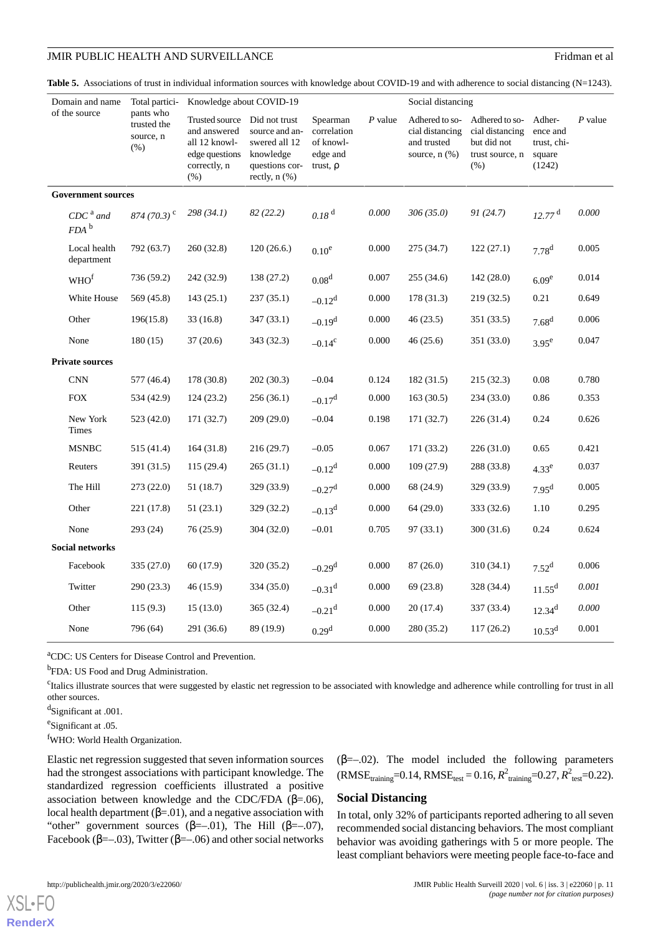<span id="page-10-0"></span>

| Table 5. Associations of trust in individual information sources with knowledge about COVID-19 and with adherence to social distancing $(N=1243)$ . |  |  |
|-----------------------------------------------------------------------------------------------------------------------------------------------------|--|--|
|-----------------------------------------------------------------------------------------------------------------------------------------------------|--|--|

| Domain and name<br>of the source |                                | Total partici-                                | Knowledge about COVID-19                                                                  |                                                                                                       |                                                                   |           | Social distancing                                                      |                                                                             |                                                       |           |
|----------------------------------|--------------------------------|-----------------------------------------------|-------------------------------------------------------------------------------------------|-------------------------------------------------------------------------------------------------------|-------------------------------------------------------------------|-----------|------------------------------------------------------------------------|-----------------------------------------------------------------------------|-------------------------------------------------------|-----------|
|                                  |                                | pants who<br>trusted the<br>source, n<br>(% ) | Trusted source<br>and answered<br>all 12 knowl-<br>edge questions<br>correctly, n<br>(% ) | Did not trust<br>source and an-<br>swered all 12<br>knowledge<br>questions cor-<br>rectly, $n$ $(\%)$ | Spearman<br>correlation<br>of knowl-<br>edge and<br>trust, $\rho$ | $P$ value | Adhered to so-<br>cial distancing<br>and trusted<br>source, $n$ $(\%)$ | Adhered to so-<br>cial distancing<br>but did not<br>trust source, n<br>(% ) | Adher-<br>ence and<br>trust, chi-<br>square<br>(1242) | $P$ value |
|                                  | <b>Government sources</b>      |                                               |                                                                                           |                                                                                                       |                                                                   |           |                                                                        |                                                                             |                                                       |           |
|                                  | $CDCa$ and<br>$FDA$ $^{\rm b}$ | 874 (70.3) <sup>c</sup>                       | 298(34.1)                                                                                 | 82(22.2)                                                                                              | 0.18 <sup>d</sup>                                                 | 0.000     | 306(35.0)                                                              | 91(24.7)                                                                    | $12.77$ <sup>d</sup>                                  | 0.000     |
|                                  | Local health<br>department     | 792 (63.7)                                    | 260 (32.8)                                                                                | 120(26.6)                                                                                             | $0.10^e$                                                          | 0.000     | 275 (34.7)                                                             | 122(27.1)                                                                   | $7.78^{d}$                                            | 0.005     |
|                                  | WHO <sup>f</sup>               | 736 (59.2)                                    | 242 (32.9)                                                                                | 138 (27.2)                                                                                            | 0.08 <sup>d</sup>                                                 | 0.007     | 255(34.6)                                                              | 142(28.0)                                                                   | 6.09 <sup>e</sup>                                     | 0.014     |
|                                  | White House                    | 569 (45.8)                                    | 143(25.1)                                                                                 | 237(35.1)                                                                                             | $-0.12^d$                                                         | 0.000     | 178(31.3)                                                              | 219(32.5)                                                                   | 0.21                                                  | 0.649     |
|                                  | Other                          | 196(15.8)                                     | 33(16.8)                                                                                  | 347(33.1)                                                                                             | $-0.19d$                                                          | 0.000     | 46(23.5)                                                               | 351 (33.5)                                                                  | 7.68 <sup>d</sup>                                     | 0.006     |
|                                  | None                           | 180(15)                                       | 37(20.6)                                                                                  | 343 (32.3)                                                                                            | $-0.14^c$                                                         | 0.000     | 46(25.6)                                                               | 351 (33.0)                                                                  | $3.95^e$                                              | 0.047     |
|                                  | <b>Private sources</b>         |                                               |                                                                                           |                                                                                                       |                                                                   |           |                                                                        |                                                                             |                                                       |           |
|                                  | <b>CNN</b>                     | 577 (46.4)                                    | 178 (30.8)                                                                                | 202(30.3)                                                                                             | $-0.04$                                                           | 0.124     | 182 (31.5)                                                             | 215(32.3)                                                                   | 0.08                                                  | 0.780     |
|                                  | <b>FOX</b>                     | 534 (42.9)                                    | 124(23.2)                                                                                 | 256(36.1)                                                                                             | $-0.17^d$                                                         | $0.000\,$ | 163(30.5)                                                              | 234(33.0)                                                                   | 0.86                                                  | 0.353     |
|                                  | New York<br>Times              | 523 (42.0)                                    | 171 (32.7)                                                                                | 209(29.0)                                                                                             | $-0.04$                                                           | 0.198     | 171 (32.7)                                                             | 226 (31.4)                                                                  | 0.24                                                  | 0.626     |
|                                  | <b>MSNBC</b>                   | 515 (41.4)                                    | 164(31.8)                                                                                 | 216(29.7)                                                                                             | $-0.05$                                                           | 0.067     | 171(33.2)                                                              | 226(31.0)                                                                   | 0.65                                                  | 0.421     |
|                                  | Reuters                        | 391 (31.5)                                    | 115(29.4)                                                                                 | 265(31.1)                                                                                             | $-0.12^d$                                                         | 0.000     | 109(27.9)                                                              | 288 (33.8)                                                                  | 4.33 <sup>e</sup>                                     | 0.037     |
|                                  | The Hill                       | 273(22.0)                                     | 51(18.7)                                                                                  | 329 (33.9)                                                                                            | $-0.27$ <sup>d</sup>                                              | 0.000     | 68 (24.9)                                                              | 329 (33.9)                                                                  | 7.95 <sup>d</sup>                                     | 0.005     |
|                                  | Other                          | 221 (17.8)                                    | 51(23.1)                                                                                  | 329 (32.2)                                                                                            | $-0.13^{d}$                                                       | 0.000     | 64(29.0)                                                               | 333 (32.6)                                                                  | 1.10                                                  | 0.295     |
|                                  | None                           | 293 (24)                                      | 76(25.9)                                                                                  | 304(32.0)                                                                                             | $-0.01$                                                           | 0.705     | 97(33.1)                                                               | 300 (31.6)                                                                  | 0.24                                                  | 0.624     |
| <b>Social networks</b>           |                                |                                               |                                                                                           |                                                                                                       |                                                                   |           |                                                                        |                                                                             |                                                       |           |
|                                  | Facebook                       | 335(27.0)                                     | 60 (17.9)                                                                                 | 320 (35.2)                                                                                            | $-0.29$ <sup>d</sup>                                              | 0.000     | 87(26.0)                                                               | 310 (34.1)                                                                  | $7.52^d$                                              | 0.006     |
|                                  | Twitter                        | 290(23.3)                                     | 46(15.9)                                                                                  | 334 (35.0)                                                                                            | $-0.31$ <sup>d</sup>                                              | 0.000     | 69 (23.8)                                                              | 328 (34.4)                                                                  | $11.55^d$                                             | 0.001     |
|                                  | Other                          | 115(9.3)                                      | 15(13.0)                                                                                  | 365 (32.4)                                                                                            | $-0.21$ <sup>d</sup>                                              | 0.000     | 20(17.4)                                                               | 337 (33.4)                                                                  | $12.34^{d}$                                           | 0.000     |
|                                  | None                           | 796 (64)                                      | 291 (36.6)                                                                                | 89 (19.9)                                                                                             | 0.29 <sup>d</sup>                                                 | 0.000     | 280 (35.2)                                                             | 117(26.2)                                                                   | $10.53^d$                                             | 0.001     |

<sup>a</sup>CDC: US Centers for Disease Control and Prevention.

<sup>b</sup>FDA: US Food and Drug Administration.

<sup>c</sup>Italics illustrate sources that were suggested by elastic net regression to be associated with knowledge and adherence while controlling for trust in all other sources.

<sup>d</sup>Significant at .001.

<sup>e</sup>Significant at .05.

<sup>f</sup>WHO: World Health Organization.

Elastic net regression suggested that seven information sources had the strongest associations with participant knowledge. The standardized regression coefficients illustrated a positive association between knowledge and the CDC/FDA ( $\beta$ =.06), local health department  $(\beta = 01)$ , and a negative association with "other" government sources ( $\beta = -01$ ), The Hill ( $\beta = -07$ ), Facebook ( $\beta$ =-.03), Twitter ( $\beta$ =-.06) and other social networks  $(\beta=-.02)$ . The model included the following parameters  $(RMSE_{\text{training}}=0.14, RMSE_{\text{test}} = 0.16, R^2_{\text{training}}=0.27, R^2_{\text{test}}=0.22).$ 

#### **Social Distancing**

In total, only 32% of participants reported adhering to all seven recommended social distancing behaviors. The most compliant behavior was avoiding gatherings with 5 or more people. The least compliant behaviors were meeting people face-to-face and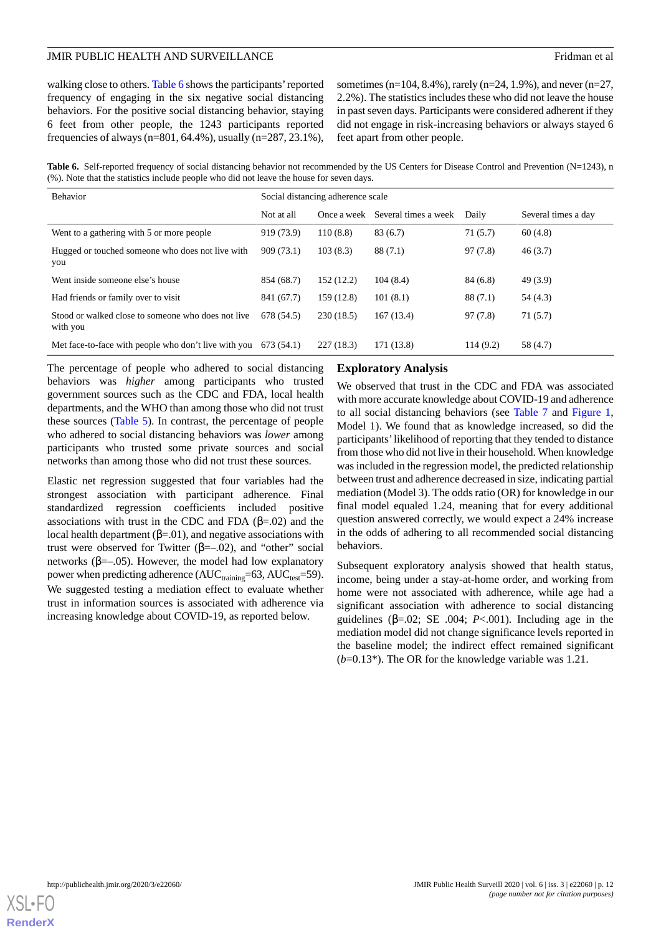walking close to others. [Table 6](#page-11-0) shows the participants'reported frequency of engaging in the six negative social distancing behaviors. For the positive social distancing behavior, staying 6 feet from other people, the 1243 participants reported frequencies of always (n=801, 64.4%), usually (n=287, 23.1%), sometimes (n=104, 8.4%), rarely (n=24, 1.9%), and never (n=27, 2.2%). The statistics includes these who did not leave the house in past seven days. Participants were considered adherent if they did not engage in risk-increasing behaviors or always stayed 6 feet apart from other people.

<span id="page-11-0"></span>Table 6. Self-reported frequency of social distancing behavior not recommended by the US Centers for Disease Control and Prevention (N=1243), n (%). Note that the statistics include people who did not leave the house for seven days.

| <b>Behavior</b>                                                | Social distancing adherence scale |             |                      |          |                     |
|----------------------------------------------------------------|-----------------------------------|-------------|----------------------|----------|---------------------|
|                                                                | Not at all                        | Once a week | Several times a week | Daily    | Several times a day |
| Went to a gathering with 5 or more people                      | 919 (73.9)                        | 110(8.8)    | 83(6.7)              | 71(5.7)  | 60(4.8)             |
| Hugged or touched someone who does not live with<br>you        | 909(73.1)                         | 103(8.3)    | 88(7.1)              | 97(7.8)  | 46(3.7)             |
| Went inside someone else's house                               | 854 (68.7)                        | 152(12.2)   | 104(8.4)             | 84(6.8)  | 49(3.9)             |
| Had friends or family over to visit                            | 841 (67.7)                        | 159 (12.8)  | 101(8.1)             | 88(7.1)  | 54(4.3)             |
| Stood or walked close to someone who does not live<br>with you | 678 (54.5)                        | 230(18.5)   | 167(13.4)            | 97(7.8)  | 71(5.7)             |
| Met face-to-face with people who don't live with you           | 673 (54.1)                        | 227(18.3)   | 171 (13.8)           | 114(9.2) | 58 (4.7)            |

The percentage of people who adhered to social distancing behaviors was *higher* among participants who trusted government sources such as the CDC and FDA, local health departments, and the WHO than among those who did not trust these sources ([Table 5](#page-10-0)). In contrast, the percentage of people who adhered to social distancing behaviors was *lower* among participants who trusted some private sources and social networks than among those who did not trust these sources.

Elastic net regression suggested that four variables had the strongest association with participant adherence. Final standardized regression coefficients included positive associations with trust in the CDC and FDA  $(\beta = .02)$  and the local health department  $(β=01)$ , and negative associations with trust were observed for Twitter (β=–.02), and "other" social networks ( $β = -05$ ). However, the model had low explanatory power when predicting adherence ( $AUC_{training}=63, AUC_{test}=59$ ). We suggested testing a mediation effect to evaluate whether trust in information sources is associated with adherence via increasing knowledge about COVID-19, as reported below.

#### **Exploratory Analysis**

We observed that trust in the CDC and FDA was associated with more accurate knowledge about COVID-19 and adherence to all social distancing behaviors (see [Table 7](#page-12-0) and [Figure 1](#page-3-0), Model 1). We found that as knowledge increased, so did the participants'likelihood of reporting that they tended to distance from those who did not live in their household. When knowledge was included in the regression model, the predicted relationship between trust and adherence decreased in size, indicating partial mediation (Model 3). The odds ratio (OR) for knowledge in our final model equaled 1.24, meaning that for every additional question answered correctly, we would expect a 24% increase in the odds of adhering to all recommended social distancing behaviors.

Subsequent exploratory analysis showed that health status, income, being under a stay-at-home order, and working from home were not associated with adherence, while age had a significant association with adherence to social distancing guidelines ( $β = .02$ ; SE .004; *P*<.001). Including age in the mediation model did not change significance levels reported in the baseline model; the indirect effect remained significant (*b*=0.13\*). The OR for the knowledge variable was 1.21.

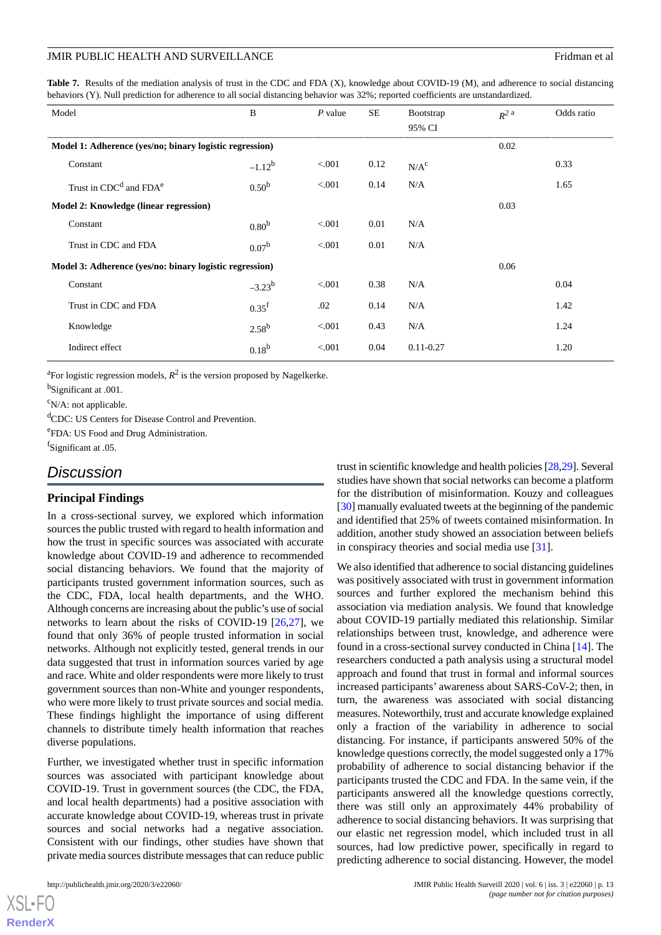<span id="page-12-0"></span>Table 7. Results of the mediation analysis of trust in the CDC and FDA (X), knowledge about COVID-19 (M), and adherence to social distancing behaviors (Y). Null prediction for adherence to all social distancing behavior was 32%; reported coefficients are unstandardized.

| Model                                                   | B                 | $P$ value | SE   | Bootstrap<br>95% CI | $R^2$ a | Odds ratio |
|---------------------------------------------------------|-------------------|-----------|------|---------------------|---------|------------|
| Model 1: Adherence (yes/no; binary logistic regression) |                   |           |      | 0.02                |         |            |
| Constant                                                | $-1.12^{b}$       | < 0.001   | 0.12 | N/A <sup>c</sup>    |         | 0.33       |
| Trust in CDC <sup>d</sup> and FDA <sup>e</sup>          | 0.50 <sup>b</sup> | < 0.001   | 0.14 | N/A                 |         | 1.65       |
| Model 2: Knowledge (linear regression)                  |                   |           |      |                     | 0.03    |            |
| Constant                                                | 0.80 <sup>b</sup> | < 0.001   | 0.01 | N/A                 |         |            |
| Trust in CDC and FDA                                    | 0.07 <sup>b</sup> | < 0.001   | 0.01 | N/A                 |         |            |
| Model 3: Adherence (yes/no: binary logistic regression) |                   |           |      |                     | 0.06    |            |
| Constant                                                | $-3.23^{b}$       | < 0.001   | 0.38 | N/A                 |         | 0.04       |
| Trust in CDC and FDA                                    | 0.35 <sup>f</sup> | .02       | 0.14 | N/A                 |         | 1.42       |
| Knowledge                                               | $2.58^{b}$        | < 0.001   | 0.43 | N/A                 |         | 1.24       |
| Indirect effect                                         | $0.18^{b}$        | < 0.001   | 0.04 | $0.11 - 0.27$       |         | 1.20       |

<sup>a</sup>For logistic regression models,  $R^2$  is the version proposed by Nagelkerke.

<sup>b</sup>Significant at .001.

 $\rm^c$ N/A: not applicable.

<sup>d</sup>CDC: US Centers for Disease Control and Prevention.

e FDA: US Food and Drug Administration.

f Significant at .05.

### *Discussion*

#### **Principal Findings**

In a cross-sectional survey, we explored which information sources the public trusted with regard to health information and how the trust in specific sources was associated with accurate knowledge about COVID-19 and adherence to recommended social distancing behaviors. We found that the majority of participants trusted government information sources, such as the CDC, FDA, local health departments, and the WHO. Although concerns are increasing about the public's use of social networks to learn about the risks of COVID-19  $[26,27]$  $[26,27]$  $[26,27]$  $[26,27]$ , we found that only 36% of people trusted information in social networks. Although not explicitly tested, general trends in our data suggested that trust in information sources varied by age and race. White and older respondents were more likely to trust government sources than non-White and younger respondents, who were more likely to trust private sources and social media. These findings highlight the importance of using different channels to distribute timely health information that reaches diverse populations.

Further, we investigated whether trust in specific information sources was associated with participant knowledge about COVID-19. Trust in government sources (the CDC, the FDA, and local health departments) had a positive association with accurate knowledge about COVID-19, whereas trust in private sources and social networks had a negative association. Consistent with our findings, other studies have shown that private media sources distribute messages that can reduce public

trust in scientific knowledge and health policies [[28,](#page-15-11)[29\]](#page-15-12). Several studies have shown that social networks can become a platform for the distribution of misinformation. Kouzy and colleagues [[30\]](#page-15-13) manually evaluated tweets at the beginning of the pandemic and identified that 25% of tweets contained misinformation. In addition, another study showed an association between beliefs in conspiracy theories and social media use [[31\]](#page-15-14).

We also identified that adherence to social distancing guidelines was positively associated with trust in government information sources and further explored the mechanism behind this association via mediation analysis. We found that knowledge about COVID-19 partially mediated this relationship. Similar relationships between trust, knowledge, and adherence were found in a cross-sectional survey conducted in China [\[14](#page-14-13)]. The researchers conducted a path analysis using a structural model approach and found that trust in formal and informal sources increased participants' awareness about SARS-CoV-2; then, in turn, the awareness was associated with social distancing measures. Noteworthily, trust and accurate knowledge explained only a fraction of the variability in adherence to social distancing. For instance, if participants answered 50% of the knowledge questions correctly, the model suggested only a 17% probability of adherence to social distancing behavior if the participants trusted the CDC and FDA. In the same vein, if the participants answered all the knowledge questions correctly, there was still only an approximately 44% probability of adherence to social distancing behaviors. It was surprising that our elastic net regression model, which included trust in all sources, had low predictive power, specifically in regard to predicting adherence to social distancing. However, the model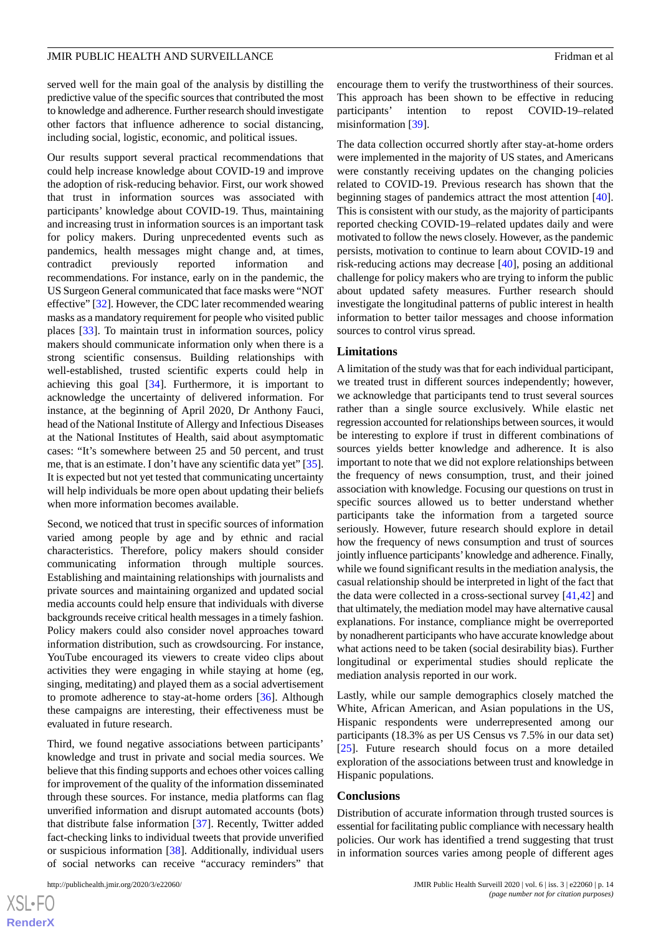served well for the main goal of the analysis by distilling the predictive value of the specific sources that contributed the most to knowledge and adherence. Further research should investigate other factors that influence adherence to social distancing, including social, logistic, economic, and political issues.

Our results support several practical recommendations that could help increase knowledge about COVID-19 and improve the adoption of risk-reducing behavior. First, our work showed that trust in information sources was associated with participants' knowledge about COVID-19. Thus, maintaining and increasing trust in information sources is an important task for policy makers. During unprecedented events such as pandemics, health messages might change and, at times, contradict previously reported information and recommendations. For instance, early on in the pandemic, the US Surgeon General communicated that face masks were "NOT effective" [[32\]](#page-15-15). However, the CDC later recommended wearing masks as a mandatory requirement for people who visited public places [\[33](#page-15-16)]. To maintain trust in information sources, policy makers should communicate information only when there is a strong scientific consensus. Building relationships with well-established, trusted scientific experts could help in achieving this goal [\[34](#page-15-17)]. Furthermore, it is important to acknowledge the uncertainty of delivered information. For instance, at the beginning of April 2020, Dr Anthony Fauci, head of the National Institute of Allergy and Infectious Diseases at the National Institutes of Health, said about asymptomatic cases: "It's somewhere between 25 and 50 percent, and trust me, that is an estimate. I don't have any scientific data yet" [\[35\]](#page-15-18). It is expected but not yet tested that communicating uncertainty will help individuals be more open about updating their beliefs when more information becomes available.

Second, we noticed that trust in specific sources of information varied among people by age and by ethnic and racial characteristics. Therefore, policy makers should consider communicating information through multiple sources. Establishing and maintaining relationships with journalists and private sources and maintaining organized and updated social media accounts could help ensure that individuals with diverse backgrounds receive critical health messages in a timely fashion. Policy makers could also consider novel approaches toward information distribution, such as crowdsourcing. For instance, YouTube encouraged its viewers to create video clips about activities they were engaging in while staying at home (eg, singing, meditating) and played them as a social advertisement to promote adherence to stay-at-home orders [\[36](#page-15-19)]. Although these campaigns are interesting, their effectiveness must be evaluated in future research.

Third, we found negative associations between participants' knowledge and trust in private and social media sources. We believe that this finding supports and echoes other voices calling for improvement of the quality of the information disseminated through these sources. For instance, media platforms can flag unverified information and disrupt automated accounts (bots) that distribute false information [[37\]](#page-15-20). Recently, Twitter added fact-checking links to individual tweets that provide unverified or suspicious information [[38\]](#page-15-21). Additionally, individual users of social networks can receive "accuracy reminders" that

encourage them to verify the trustworthiness of their sources. This approach has been shown to be effective in reducing participants' intention to repost COVID-19–related misinformation [\[39](#page-15-22)].

The data collection occurred shortly after stay-at-home orders were implemented in the majority of US states, and Americans were constantly receiving updates on the changing policies related to COVID-19. Previous research has shown that the beginning stages of pandemics attract the most attention [[40\]](#page-15-23). This is consistent with our study, as the majority of participants reported checking COVID-19–related updates daily and were motivated to follow the news closely. However, as the pandemic persists, motivation to continue to learn about COVID-19 and risk-reducing actions may decrease [\[40](#page-15-23)], posing an additional challenge for policy makers who are trying to inform the public about updated safety measures. Further research should investigate the longitudinal patterns of public interest in health information to better tailor messages and choose information sources to control virus spread.

#### **Limitations**

A limitation of the study was that for each individual participant, we treated trust in different sources independently; however, we acknowledge that participants tend to trust several sources rather than a single source exclusively. While elastic net regression accounted for relationships between sources, it would be interesting to explore if trust in different combinations of sources yields better knowledge and adherence. It is also important to note that we did not explore relationships between the frequency of news consumption, trust, and their joined association with knowledge. Focusing our questions on trust in specific sources allowed us to better understand whether participants take the information from a targeted source seriously. However, future research should explore in detail how the frequency of news consumption and trust of sources jointly influence participants'knowledge and adherence. Finally, while we found significant results in the mediation analysis, the casual relationship should be interpreted in light of the fact that the data were collected in a cross-sectional survey [[41](#page-15-24)[,42](#page-16-0)] and that ultimately, the mediation model may have alternative causal explanations. For instance, compliance might be overreported by nonadherent participants who have accurate knowledge about what actions need to be taken (social desirability bias). Further longitudinal or experimental studies should replicate the mediation analysis reported in our work.

Lastly, while our sample demographics closely matched the White, African American, and Asian populations in the US, Hispanic respondents were underrepresented among our participants (18.3% as per US Census vs 7.5% in our data set) [[25\]](#page-15-8). Future research should focus on a more detailed exploration of the associations between trust and knowledge in Hispanic populations.

#### **Conclusions**

Distribution of accurate information through trusted sources is essential for facilitating public compliance with necessary health policies. Our work has identified a trend suggesting that trust in information sources varies among people of different ages

 $XS$ -FO **[RenderX](http://www.renderx.com/)**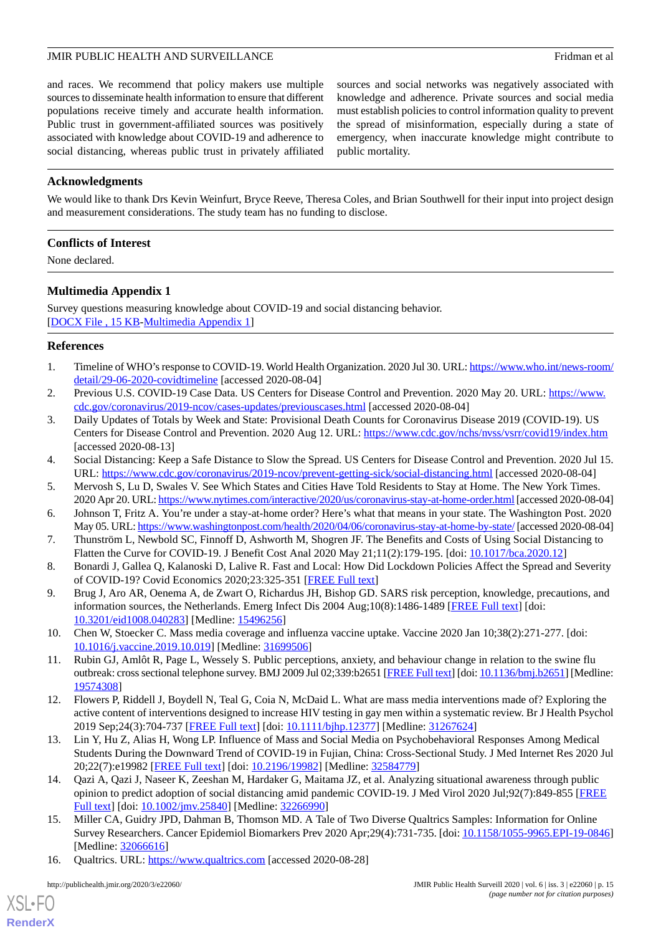and races. We recommend that policy makers use multiple sources to disseminate health information to ensure that different populations receive timely and accurate health information. Public trust in government-affiliated sources was positively associated with knowledge about COVID-19 and adherence to social distancing, whereas public trust in privately affiliated

sources and social networks was negatively associated with knowledge and adherence. Private sources and social media must establish policies to control information quality to prevent the spread of misinformation, especially during a state of emergency, when inaccurate knowledge might contribute to public mortality.

### **Acknowledgments**

We would like to thank Drs Kevin Weinfurt, Bryce Reeve, Theresa Coles, and Brian Southwell for their input into project design and measurement considerations. The study team has no funding to disclose.

### **Conflicts of Interest**

<span id="page-14-16"></span>None declared.

### **Multimedia Appendix 1**

Survey questions measuring knowledge about COVID-19 and social distancing behavior. [[DOCX File , 15 KB](https://jmir.org/api/download?alt_name=publichealth_v6i3e22060_app1.docx&filename=5407cb94a282f7cea53994a82adfd45c.docx)-[Multimedia Appendix 1\]](https://jmir.org/api/download?alt_name=publichealth_v6i3e22060_app1.docx&filename=5407cb94a282f7cea53994a82adfd45c.docx)

#### <span id="page-14-1"></span><span id="page-14-0"></span>**References**

- <span id="page-14-2"></span>1. Timeline of WHO's response to COVID-19. World Health Organization. 2020 Jul 30. URL: [https://www.who.int/news-room/](https://www.who.int/news-room/detail/29-06-2020-covidtimeline) [detail/29-06-2020-covidtimeline](https://www.who.int/news-room/detail/29-06-2020-covidtimeline) [accessed 2020-08-04]
- 2. Previous U.S. COVID-19 Case Data. US Centers for Disease Control and Prevention. 2020 May 20. URL: [https://www.](https://www.cdc.gov/coronavirus/2019-ncov/cases-updates/previouscases.html) [cdc.gov/coronavirus/2019-ncov/cases-updates/previouscases.html](https://www.cdc.gov/coronavirus/2019-ncov/cases-updates/previouscases.html) [accessed 2020-08-04]
- <span id="page-14-4"></span><span id="page-14-3"></span>3. Daily Updates of Totals by Week and State: Provisional Death Counts for Coronavirus Disease 2019 (COVID-19). US Centers for Disease Control and Prevention. 2020 Aug 12. URL: <https://www.cdc.gov/nchs/nvss/vsrr/covid19/index.htm> [accessed 2020-08-13]
- <span id="page-14-5"></span>4. Social Distancing: Keep a Safe Distance to Slow the Spread. US Centers for Disease Control and Prevention. 2020 Jul 15. URL: <https://www.cdc.gov/coronavirus/2019-ncov/prevent-getting-sick/social-distancing.html> [accessed 2020-08-04]
- <span id="page-14-6"></span>5. Mervosh S, Lu D, Swales V. See Which States and Cities Have Told Residents to Stay at Home. The New York Times. 2020 Apr 20. URL:<https://www.nytimes.com/interactive/2020/us/coronavirus-stay-at-home-order.html> [accessed 2020-08-04]
- <span id="page-14-7"></span>6. Johnson T, Fritz A. You're under a stay-at-home order? Here's what that means in your state. The Washington Post. 2020 May 05. URL:<https://www.washingtonpost.com/health/2020/04/06/coronavirus-stay-at-home-by-state/> [accessed 2020-08-04]
- <span id="page-14-8"></span>7. Thunström L, Newbold SC, Finnoff D, Ashworth M, Shogren JF. The Benefits and Costs of Using Social Distancing to Flatten the Curve for COVID-19. J Benefit Cost Anal 2020 May 21;11(2):179-195. [doi: [10.1017/bca.2020.12](http://dx.doi.org/10.1017/bca.2020.12)]
- <span id="page-14-9"></span>8. Bonardi J, Gallea Q, Kalanoski D, Lalive R. Fast and Local: How Did Lockdown Policies Affect the Spread and Severity of COVID-19? Covid Economics 2020;23:325-351 [\[FREE Full text\]](http://unassumingeconomist.com/wp-content/uploads/2020/05/fast-and-local.pdf)
- <span id="page-14-10"></span>9. Brug J, Aro AR, Oenema A, de Zwart O, Richardus JH, Bishop GD. SARS risk perception, knowledge, precautions, and information sources, the Netherlands. Emerg Infect Dis 2004 Aug;10(8):1486-1489 [[FREE Full text\]](https://wwwnc.cdc.gov/eid/article/10/8/04-0283_article) [doi: [10.3201/eid1008.040283](http://dx.doi.org/10.3201/eid1008.040283)] [Medline: [15496256](http://www.ncbi.nlm.nih.gov/entrez/query.fcgi?cmd=Retrieve&db=PubMed&list_uids=15496256&dopt=Abstract)]
- <span id="page-14-11"></span>10. Chen W, Stoecker C. Mass media coverage and influenza vaccine uptake. Vaccine 2020 Jan 10;38(2):271-277. [doi: [10.1016/j.vaccine.2019.10.019\]](http://dx.doi.org/10.1016/j.vaccine.2019.10.019) [Medline: [31699506\]](http://www.ncbi.nlm.nih.gov/entrez/query.fcgi?cmd=Retrieve&db=PubMed&list_uids=31699506&dopt=Abstract)
- <span id="page-14-12"></span>11. Rubin GJ, Amlôt R, Page L, Wessely S. Public perceptions, anxiety, and behaviour change in relation to the swine flu outbreak: cross sectional telephone survey. BMJ 2009 Jul 02;339:b2651 [[FREE Full text\]](http://europepmc.org/abstract/MED/19574308) [doi: [10.1136/bmj.b2651\]](http://dx.doi.org/10.1136/bmj.b2651) [Medline: [19574308](http://www.ncbi.nlm.nih.gov/entrez/query.fcgi?cmd=Retrieve&db=PubMed&list_uids=19574308&dopt=Abstract)]
- <span id="page-14-13"></span>12. Flowers P, Riddell J, Boydell N, Teal G, Coia N, McDaid L. What are mass media interventions made of? Exploring the active content of interventions designed to increase HIV testing in gay men within a systematic review. Br J Health Psychol 2019 Sep;24(3):704-737 [\[FREE Full text\]](http://europepmc.org/abstract/MED/31267624) [doi: [10.1111/bjhp.12377\]](http://dx.doi.org/10.1111/bjhp.12377) [Medline: [31267624](http://www.ncbi.nlm.nih.gov/entrez/query.fcgi?cmd=Retrieve&db=PubMed&list_uids=31267624&dopt=Abstract)]
- <span id="page-14-14"></span>13. Lin Y, Hu Z, Alias H, Wong LP. Influence of Mass and Social Media on Psychobehavioral Responses Among Medical Students During the Downward Trend of COVID-19 in Fujian, China: Cross-Sectional Study. J Med Internet Res 2020 Jul 20;22(7):e19982 [\[FREE Full text](https://www.jmir.org/2020/7/e19982/)] [doi: [10.2196/19982\]](http://dx.doi.org/10.2196/19982) [Medline: [32584779\]](http://www.ncbi.nlm.nih.gov/entrez/query.fcgi?cmd=Retrieve&db=PubMed&list_uids=32584779&dopt=Abstract)
- <span id="page-14-15"></span>14. Qazi A, Qazi J, Naseer K, Zeeshan M, Hardaker G, Maitama JZ, et al. Analyzing situational awareness through public opinion to predict adoption of social distancing amid pandemic COVID-19. J Med Virol 2020 Jul;92(7):849-855 [\[FREE](http://europepmc.org/abstract/MED/32266990) [Full text\]](http://europepmc.org/abstract/MED/32266990) [doi: [10.1002/jmv.25840\]](http://dx.doi.org/10.1002/jmv.25840) [Medline: [32266990\]](http://www.ncbi.nlm.nih.gov/entrez/query.fcgi?cmd=Retrieve&db=PubMed&list_uids=32266990&dopt=Abstract)
- 15. Miller CA, Guidry JPD, Dahman B, Thomson MD. A Tale of Two Diverse Qualtrics Samples: Information for Online Survey Researchers. Cancer Epidemiol Biomarkers Prev 2020 Apr;29(4):731-735. [doi: [10.1158/1055-9965.EPI-19-0846](http://dx.doi.org/10.1158/1055-9965.EPI-19-0846)] [Medline: [32066616](http://www.ncbi.nlm.nih.gov/entrez/query.fcgi?cmd=Retrieve&db=PubMed&list_uids=32066616&dopt=Abstract)]
- 16. Qualtrics. URL: <https://www.qualtrics.com> [accessed 2020-08-28]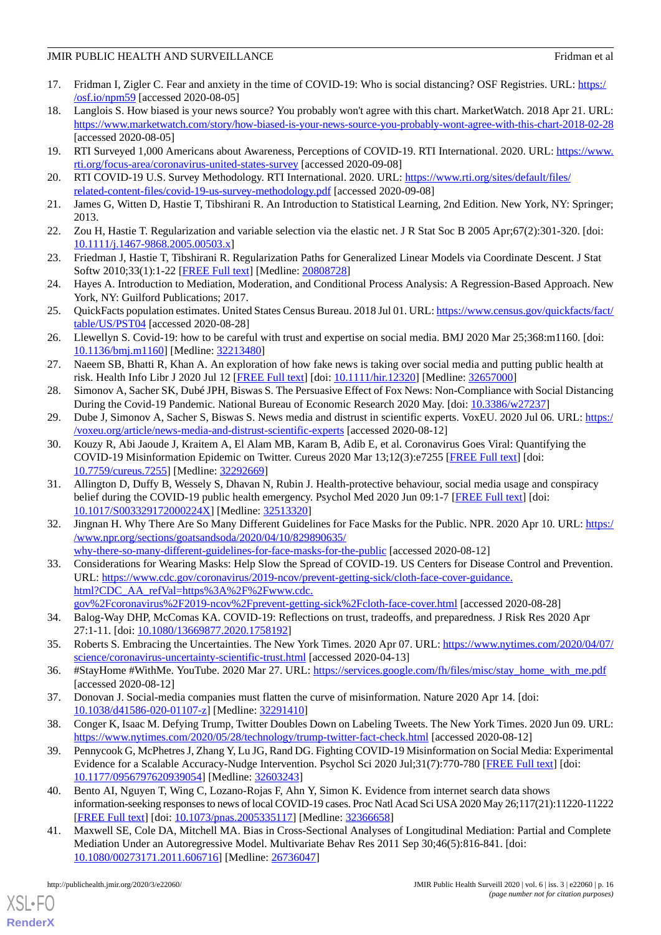- <span id="page-15-0"></span>17. Fridman I, Zigler C. Fear and anxiety in the time of COVID-19: Who is social distancing? OSF Registries. URL: [https:/](https://osf.io/npm59) [/osf.io/npm59](https://osf.io/npm59) [accessed 2020-08-05]
- <span id="page-15-1"></span>18. Langlois S. How biased is your news source? You probably won't agree with this chart. MarketWatch. 2018 Apr 21. URL: <https://www.marketwatch.com/story/how-biased-is-your-news-source-you-probably-wont-agree-with-this-chart-2018-02-28> [accessed 2020-08-05]
- <span id="page-15-3"></span><span id="page-15-2"></span>19. RTI Surveyed 1,000 Americans about Awareness, Perceptions of COVID-19. RTI International. 2020. URL: [https://www.](https://www.rti.org/focus-area/coronavirus-united-states-survey) [rti.org/focus-area/coronavirus-united-states-survey](https://www.rti.org/focus-area/coronavirus-united-states-survey) [accessed 2020-09-08]
- <span id="page-15-4"></span>20. RTI COVID-19 U.S. Survey Methodology. RTI International. 2020. URL: [https://www.rti.org/sites/default/files/](https://www.rti.org/sites/default/files/related-content-files/covid-19-us-survey-methodology.pdf) [related-content-files/covid-19-us-survey-methodology.pdf](https://www.rti.org/sites/default/files/related-content-files/covid-19-us-survey-methodology.pdf) [accessed 2020-09-08]
- <span id="page-15-5"></span>21. James G, Witten D, Hastie T, Tibshirani R. An Introduction to Statistical Learning, 2nd Edition. New York, NY: Springer; 2013.
- <span id="page-15-6"></span>22. Zou H, Hastie T. Regularization and variable selection via the elastic net. J R Stat Soc B 2005 Apr;67(2):301-320. [doi: [10.1111/j.1467-9868.2005.00503.x\]](http://dx.doi.org/10.1111/j.1467-9868.2005.00503.x)
- <span id="page-15-7"></span>23. Friedman J, Hastie T, Tibshirani R. Regularization Paths for Generalized Linear Models via Coordinate Descent. J Stat Softw 2010;33(1):1-22 [\[FREE Full text\]](http://europepmc.org/abstract/MED/20808728) [Medline: [20808728](http://www.ncbi.nlm.nih.gov/entrez/query.fcgi?cmd=Retrieve&db=PubMed&list_uids=20808728&dopt=Abstract)]
- <span id="page-15-8"></span>24. Hayes A. Introduction to Mediation, Moderation, and Conditional Process Analysis: A Regression-Based Approach. New York, NY: Guilford Publications; 2017.
- <span id="page-15-9"></span>25. QuickFacts population estimates. United States Census Bureau. 2018 Jul 01. URL: [https://www.census.gov/quickfacts/fact/](https://www.census.gov/quickfacts/fact/table/US/PST04) [table/US/PST04](https://www.census.gov/quickfacts/fact/table/US/PST04) [accessed 2020-08-28]
- <span id="page-15-10"></span>26. Llewellyn S. Covid-19: how to be careful with trust and expertise on social media. BMJ 2020 Mar 25;368:m1160. [doi: [10.1136/bmj.m1160\]](http://dx.doi.org/10.1136/bmj.m1160) [Medline: [32213480](http://www.ncbi.nlm.nih.gov/entrez/query.fcgi?cmd=Retrieve&db=PubMed&list_uids=32213480&dopt=Abstract)]
- <span id="page-15-12"></span><span id="page-15-11"></span>27. Naeem SB, Bhatti R, Khan A. An exploration of how fake news is taking over social media and putting public health at risk. Health Info Libr J 2020 Jul 12 [\[FREE Full text\]](http://europepmc.org/abstract/MED/32657000) [doi: [10.1111/hir.12320](http://dx.doi.org/10.1111/hir.12320)] [Medline: [32657000](http://www.ncbi.nlm.nih.gov/entrez/query.fcgi?cmd=Retrieve&db=PubMed&list_uids=32657000&dopt=Abstract)]
- <span id="page-15-13"></span>28. Simonov A, Sacher SK, Dubé JPH, Biswas S. The Persuasive Effect of Fox News: Non-Compliance with Social Distancing During the Covid-19 Pandemic. National Bureau of Economic Research 2020 May. [doi: [10.3386/w27237\]](http://dx.doi.org/10.3386/w27237)
- 29. Dube J, Simonov A, Sacher S, Biswas S. News media and distrust in scientific experts. VoxEU. 2020 Jul 06. URL: [https:/](https://voxeu.org/article/news-media-and-distrust-scientific-experts) [/voxeu.org/article/news-media-and-distrust-scientific-experts](https://voxeu.org/article/news-media-and-distrust-scientific-experts) [accessed 2020-08-12]
- <span id="page-15-14"></span>30. Kouzy R, Abi Jaoude J, Kraitem A, El Alam MB, Karam B, Adib E, et al. Coronavirus Goes Viral: Quantifying the COVID-19 Misinformation Epidemic on Twitter. Cureus 2020 Mar 13;12(3):e7255 [\[FREE Full text\]](http://europepmc.org/abstract/MED/32292669) [doi: [10.7759/cureus.7255](http://dx.doi.org/10.7759/cureus.7255)] [Medline: [32292669](http://www.ncbi.nlm.nih.gov/entrez/query.fcgi?cmd=Retrieve&db=PubMed&list_uids=32292669&dopt=Abstract)]
- <span id="page-15-15"></span>31. Allington D, Duffy B, Wessely S, Dhavan N, Rubin J. Health-protective behaviour, social media usage and conspiracy belief during the COVID-19 public health emergency. Psychol Med 2020 Jun 09:1-7 [\[FREE Full text\]](http://europepmc.org/abstract/MED/32513320) [doi: [10.1017/S003329172000224X\]](http://dx.doi.org/10.1017/S003329172000224X) [Medline: [32513320](http://www.ncbi.nlm.nih.gov/entrez/query.fcgi?cmd=Retrieve&db=PubMed&list_uids=32513320&dopt=Abstract)]
- <span id="page-15-16"></span>32. Jingnan H. Why There Are So Many Different Guidelines for Face Masks for the Public. NPR. 2020 Apr 10. URL: [https:/](https://www.npr.org/sections/goatsandsoda/2020/04/10/829890635/why-there-so-many-different-guidelines-for-face-masks-for-the-public) [/www.npr.org/sections/goatsandsoda/2020/04/10/829890635/](https://www.npr.org/sections/goatsandsoda/2020/04/10/829890635/why-there-so-many-different-guidelines-for-face-masks-for-the-public) [why-there-so-many-different-guidelines-for-face-masks-for-the-public](https://www.npr.org/sections/goatsandsoda/2020/04/10/829890635/why-there-so-many-different-guidelines-for-face-masks-for-the-public) [accessed 2020-08-12]
- <span id="page-15-18"></span><span id="page-15-17"></span>33. Considerations for Wearing Masks: Help Slow the Spread of COVID-19. US Centers for Disease Control and Prevention. URL: [https://www.cdc.gov/coronavirus/2019-ncov/prevent-getting-sick/cloth-face-cover-guidance.](https://www.cdc.gov/coronavirus/2019-ncov/prevent-getting-sick/cloth-face-cover-guidance.html?CDC_AA_refVal=https%3A%2F%2Fwww.cdc.gov%2Fcoronavirus%2F2019-ncov%2Fprevent-getting-sick%2Fcloth-face-cover.html) [html?CDC\\_AA\\_refVal=https%3A%2F%2Fwww.cdc.](https://www.cdc.gov/coronavirus/2019-ncov/prevent-getting-sick/cloth-face-cover-guidance.html?CDC_AA_refVal=https%3A%2F%2Fwww.cdc.gov%2Fcoronavirus%2F2019-ncov%2Fprevent-getting-sick%2Fcloth-face-cover.html)
- <span id="page-15-19"></span>[gov%2Fcoronavirus%2F2019-ncov%2Fprevent-getting-sick%2Fcloth-face-cover.html](https://www.cdc.gov/coronavirus/2019-ncov/prevent-getting-sick/cloth-face-cover-guidance.html?CDC_AA_refVal=https%3A%2F%2Fwww.cdc.gov%2Fcoronavirus%2F2019-ncov%2Fprevent-getting-sick%2Fcloth-face-cover.html) [accessed 2020-08-28] 34. Balog-Way DHP, McComas KA. COVID-19: Reflections on trust, tradeoffs, and preparedness. J Risk Res 2020 Apr
- <span id="page-15-20"></span>27:1-11. [doi: [10.1080/13669877.2020.1758192](http://dx.doi.org/10.1080/13669877.2020.1758192)]
- <span id="page-15-21"></span>35. Roberts S. Embracing the Uncertainties. The New York Times. 2020 Apr 07. URL: [https://www.nytimes.com/2020/04/07/](https://www.nytimes.com/2020/04/07/science/coronavirus-uncertainty-scientific-trust.html) [science/coronavirus-uncertainty-scientific-trust.html](https://www.nytimes.com/2020/04/07/science/coronavirus-uncertainty-scientific-trust.html) [accessed 2020-04-13]
- <span id="page-15-22"></span>36. #StayHome #WithMe. YouTube. 2020 Mar 27. URL: [https://services.google.com/fh/files/misc/stay\\_home\\_with\\_me.pdf](https://services.google.com/fh/files/misc/stay_home_with_me.pdf) [accessed 2020-08-12]
- 37. Donovan J. Social-media companies must flatten the curve of misinformation. Nature 2020 Apr 14. [doi: [10.1038/d41586-020-01107-z](http://dx.doi.org/10.1038/d41586-020-01107-z)] [Medline: [32291410](http://www.ncbi.nlm.nih.gov/entrez/query.fcgi?cmd=Retrieve&db=PubMed&list_uids=32291410&dopt=Abstract)]
- <span id="page-15-23"></span>38. Conger K, Isaac M. Defying Trump, Twitter Doubles Down on Labeling Tweets. The New York Times. 2020 Jun 09. URL: <https://www.nytimes.com/2020/05/28/technology/trump-twitter-fact-check.html> [accessed 2020-08-12]
- <span id="page-15-24"></span>39. Pennycook G, McPhetres J, Zhang Y, Lu JG, Rand DG. Fighting COVID-19 Misinformation on Social Media: Experimental Evidence for a Scalable Accuracy-Nudge Intervention. Psychol Sci 2020 Jul;31(7):770-780 [\[FREE Full text](http://europepmc.org/abstract/MED/32603243)] [doi: [10.1177/0956797620939054\]](http://dx.doi.org/10.1177/0956797620939054) [Medline: [32603243\]](http://www.ncbi.nlm.nih.gov/entrez/query.fcgi?cmd=Retrieve&db=PubMed&list_uids=32603243&dopt=Abstract)
- 40. Bento AI, Nguyen T, Wing C, Lozano-Rojas F, Ahn Y, Simon K. Evidence from internet search data shows information-seeking responses to news of local COVID-19 cases. Proc Natl Acad Sci USA 2020 May 26;117(21):11220-11222 [[FREE Full text](http://europepmc.org/abstract/MED/32366658)] [doi: [10.1073/pnas.2005335117\]](http://dx.doi.org/10.1073/pnas.2005335117) [Medline: [32366658](http://www.ncbi.nlm.nih.gov/entrez/query.fcgi?cmd=Retrieve&db=PubMed&list_uids=32366658&dopt=Abstract)]
- 41. Maxwell SE, Cole DA, Mitchell MA. Bias in Cross-Sectional Analyses of Longitudinal Mediation: Partial and Complete Mediation Under an Autoregressive Model. Multivariate Behav Res 2011 Sep 30;46(5):816-841. [doi: [10.1080/00273171.2011.606716\]](http://dx.doi.org/10.1080/00273171.2011.606716) [Medline: [26736047\]](http://www.ncbi.nlm.nih.gov/entrez/query.fcgi?cmd=Retrieve&db=PubMed&list_uids=26736047&dopt=Abstract)